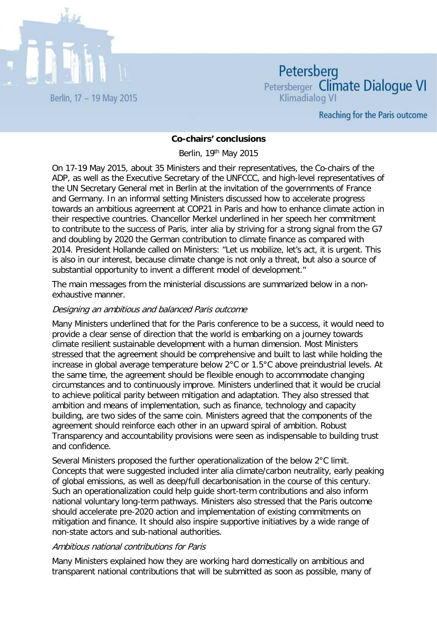

Petersberg Petersberger Climate Dialoque VI Klimadialog VI

**Reaching for the Paris outcome** 

### **Co-chairs' conclusions**

Berlin, 19th May 2015

On 17-19 May 2015, about 35 Ministers and their representatives, the Co-chairs of the ADP, as well as the Executive Secretary of the UNFCCC, and high-level representatives of the UN Secretary General met in Berlin at the invitation of the governments of France and Germany. In an informal setting Ministers discussed how to accelerate progress towards an ambitious agreement at COP21 in Paris and how to enhance climate action in their respective countries. Chancellor Merkel underlined in her speech her commitment to contribute to the success of Paris, inter alia by striving for a strong signal from the G7 and doubling by 2020 the German contribution to climate finance as compared with 2014. President Hollande called on Ministers: "Let us mobilize, let's act, it is urgent. This is also in our interest, because climate change is not only a threat, but also a source of substantial opportunity to invent a different model of development."

The main messages from the ministerial discussions are summarized below in a nonexhaustive manner.

### Designing an ambitious and balanced Paris outcome

Many Ministers underlined that for the Paris conference to be a success, it would need to provide a clear sense of direction that the world is embarking on a journey towards climate resilient sustainable development with a human dimension. Most Ministers stressed that the agreement should be comprehensive and built to last while holding the increase in global average temperature below 2°C or 1.5°C above preindustrial levels. At the same time, the agreement should be flexible enough to accommodate changing circumstances and to continuously improve. Ministers underlined that it would be crucial to achieve political parity between mitigation and adaptation. They also stressed that ambition and means of implementation, such as finance, technology and capacity building, are two sides of the same coin. Ministers agreed that the components of the agreement should reinforce each other in an upward spiral of ambition. Robust Transparency and accountability provisions were seen as indispensable to building trust and confidence.

Several Ministers proposed the further operationalization of the below 2°C limit. Concepts that were suggested included inter alia climate/carbon neutrality, early peaking of global emissions, as well as deep/full decarbonisation in the course of this century. Such an operationalization could help guide short-term contributions and also inform national voluntary long-term pathways. Ministers also stressed that the Paris outcome should accelerate pre-2020 action and implementation of existing commitments on mitigation and finance. It should also inspire supportive initiatives by a wide range of non-state actors and sub-national authorities.

### Ambitious national contributions for Paris

Many Ministers explained how they are working hard domestically on ambitious and transparent national contributions that will be submitted as soon as possible, many of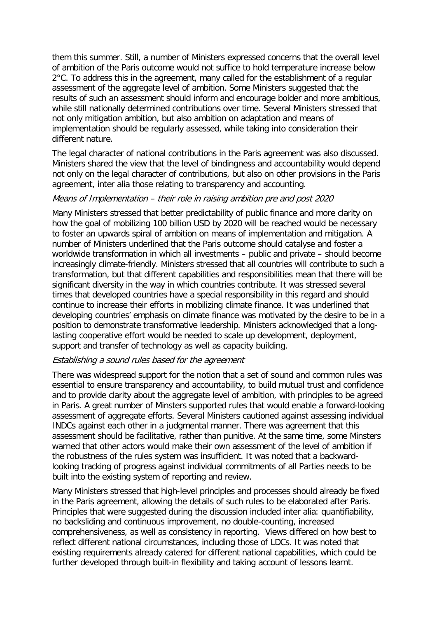them this summer. Still, a number of Ministers expressed concerns that the overall level of ambition of the Paris outcome would not suffice to hold temperature increase below 2°C. To address this in the agreement, many called for the establishment of a regular assessment of the aggregate level of ambition. Some Ministers suggested that the results of such an assessment should inform and encourage bolder and more ambitious, while still nationally determined contributions over time. Several Ministers stressed that not only mitigation ambition, but also ambition on adaptation and means of implementation should be regularly assessed, while taking into consideration their different nature.

The legal character of national contributions in the Paris agreement was also discussed. Ministers shared the view that the level of bindingness and accountability would depend not only on the legal character of contributions, but also on other provisions in the Paris agreement, inter alia those relating to transparency and accounting.

## Means of Implementation – their role in raising ambition pre and post 2020

Many Ministers stressed that better predictability of public finance and more clarity on how the goal of mobilizing 100 billion USD by 2020 will be reached would be necessary to foster an upwards spiral of ambition on means of implementation and mitigation. A number of Ministers underlined that the Paris outcome should catalyse and foster a worldwide transformation in which all investments – public and private – should become increasingly climate-friendly. Ministers stressed that all countries will contribute to such a transformation, but that different capabilities and responsibilities mean that there will be significant diversity in the way in which countries contribute. It was stressed several times that developed countries have a special responsibility in this regard and should continue to increase their efforts in mobilizing climate finance. It was underlined that developing countries' emphasis on climate finance was motivated by the desire to be in a position to demonstrate transformative leadership. Ministers acknowledged that a longlasting cooperative effort would be needed to scale up development, deployment, support and transfer of technology as well as capacity building.

# Establishing a sound rules based for the agreement

There was widespread support for the notion that a set of sound and common rules was essential to ensure transparency and accountability, to build mutual trust and confidence and to provide clarity about the aggregate level of ambition, with principles to be agreed in Paris. A great number of Minsters supported rules that would enable a forward-looking assessment of aggregate efforts. Several Ministers cautioned against assessing individual INDCs against each other in a judgmental manner. There was agreement that this assessment should be facilitative, rather than punitive. At the same time, some Minsters warned that other actors would make their own assessment of the level of ambition if the robustness of the rules system was insufficient. It was noted that a backwardlooking tracking of progress against individual commitments of all Parties needs to be built into the existing system of reporting and review.

Many Ministers stressed that high-level principles and processes should already be fixed in the Paris agreement, allowing the details of such rules to be elaborated after Paris. Principles that were suggested during the discussion included inter alia: quantifiability, no backsliding and continuous improvement, no double-counting, increased comprehensiveness, as well as consistency in reporting. Views differed on how best to reflect different national circumstances, including those of LDCs. It was noted that existing requirements already catered for different national capabilities, which could be further developed through built-in flexibility and taking account of lessons learnt.